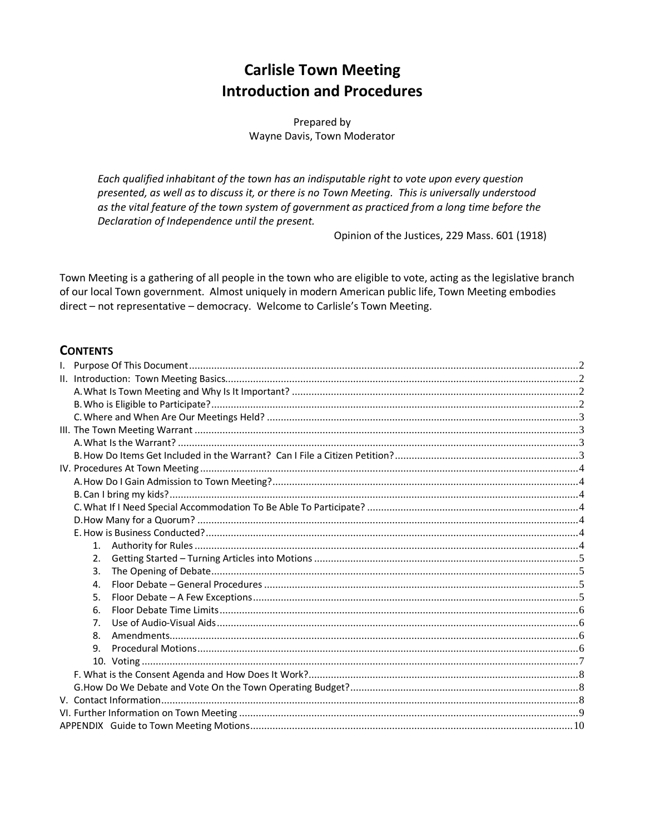# **Carlisle Town Meeting Introduction and Procedures**

Prepared by Wayne Davis, Town Moderator

Each qualified inhabitant of the town has an indisputable right to vote upon every question presented, as well as to discuss it, or there is no Town Meeting. This is universally understood as the vital feature of the town system of government as practiced from a long time before the Declaration of Independence until the present.

Opinion of the Justices, 229 Mass. 601 (1918)

Town Meeting is a gathering of all people in the town who are eligible to vote, acting as the legislative branch of our local Town government. Almost uniquely in modern American public life, Town Meeting embodies direct - not representative - democracy. Welcome to Carlisle's Town Meeting.

#### **CONTENTS**

| 2.             |  |
|----------------|--|
| 3.             |  |
| 4.             |  |
| 5.             |  |
| 6.             |  |
| 7 <sub>1</sub> |  |
| 8.             |  |
| 9.             |  |
|                |  |
|                |  |
|                |  |
|                |  |
|                |  |
|                |  |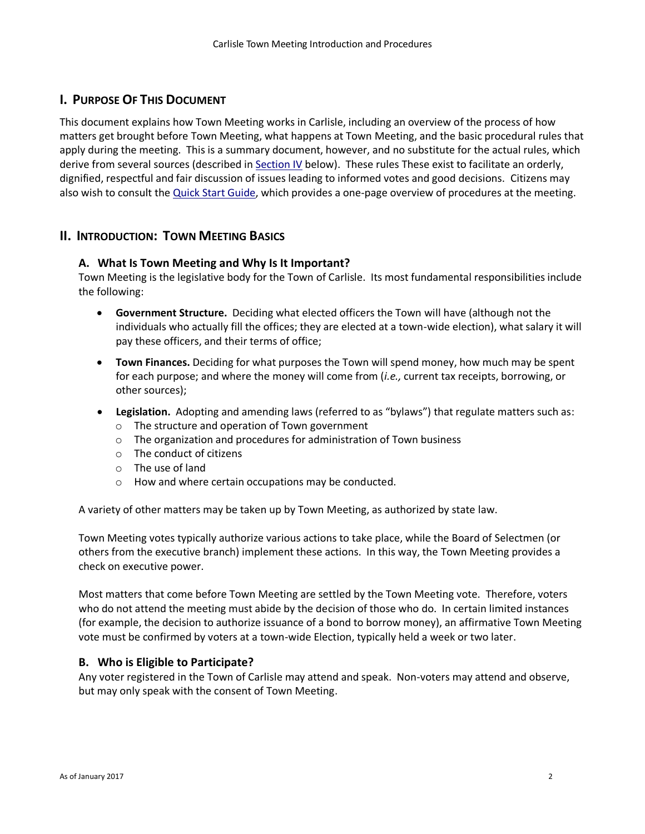## <span id="page-1-0"></span>**I. PURPOSE OF THIS DOCUMENT**

This document explains how Town Meeting works in Carlisle, including an overview of the process of how matters get brought before Town Meeting, what happens at Town Meeting, and the basic procedural rules that apply during the meeting. This is a summary document, however, and no substitute for the actual rules, which derive from several sources (described i[n Section IV](#page-3-6) below). These rules These exist to facilitate an orderly, dignified, respectful and fair discussion of issues leading to informed votes and good decisions. Citizens may also wish to consult the [Quick Start Guide,](file:///C:/Users/Wayne/Documents/Personal/Town%20Meeting/Website%20ideas%20and%20content/Website%20content%20DRAFT/Quick%20Start%20Guide%20to%20Carlisle%20Town%20Meeting.docx) which provides a one-page overview of procedures at the meeting.

#### <span id="page-1-1"></span>**II. INTRODUCTION: TOWN MEETING BASICS**

#### <span id="page-1-2"></span>**A. What Is Town Meeting and Why Is It Important?**

Town Meeting is the legislative body for the Town of Carlisle. Its most fundamental responsibilities include the following:

- **Government Structure.** Deciding what elected officers the Town will have (although not the individuals who actually fill the offices; they are elected at a town-wide election), what salary it will pay these officers, and their terms of office;
- **Town Finances.** Deciding for what purposes the Town will spend money, how much may be spent for each purpose; and where the money will come from (*i.e.,* current tax receipts, borrowing, or other sources);
- **Legislation.** Adopting and amending laws (referred to as "bylaws") that regulate matters such as:
	- o The structure and operation of Town government
	- o The organization and procedures for administration of Town business
	- o The conduct of citizens
	- o The use of land
	- o How and where certain occupations may be conducted.

A variety of other matters may be taken up by Town Meeting, as authorized by state law.

Town Meeting votes typically authorize various actions to take place, while the Board of Selectmen (or others from the executive branch) implement these actions. In this way, the Town Meeting provides a check on executive power.

Most matters that come before Town Meeting are settled by the Town Meeting vote. Therefore, voters who do not attend the meeting must abide by the decision of those who do. In certain limited instances (for example, the decision to authorize issuance of a bond to borrow money), an affirmative Town Meeting vote must be confirmed by voters at a town-wide Election, typically held a week or two later.

#### <span id="page-1-3"></span>**B. Who is Eligible to Participate?**

Any voter registered in the Town of Carlisle may attend and speak. Non-voters may attend and observe, but may only speak with the consent of Town Meeting.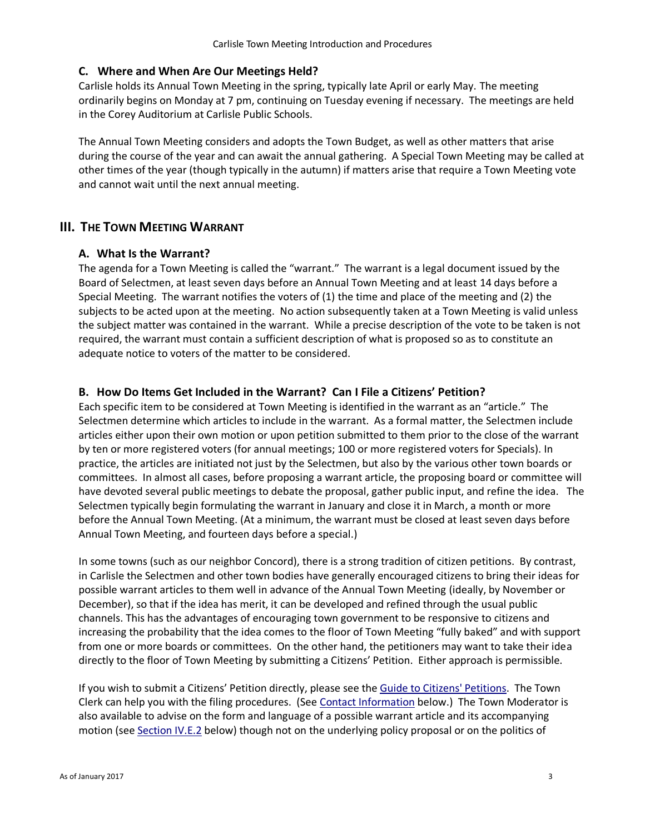#### <span id="page-2-0"></span>**C. Where and When Are Our Meetings Held?**

Carlisle holds its Annual Town Meeting in the spring, typically late April or early May. The meeting ordinarily begins on Monday at 7 pm, continuing on Tuesday evening if necessary. The meetings are held in the Corey Auditorium at Carlisle Public Schools.

The Annual Town Meeting considers and adopts the Town Budget, as well as other matters that arise during the course of the year and can await the annual gathering. A Special Town Meeting may be called at other times of the year (though typically in the autumn) if matters arise that require a Town Meeting vote and cannot wait until the next annual meeting.

#### <span id="page-2-2"></span><span id="page-2-1"></span>**III.** THE TOWN MEETING WARRANT

#### **A. What Is the Warrant?**

The agenda for a Town Meeting is called the "warrant." The warrant is a legal document issued by the Board of Selectmen, at least seven days before an Annual Town Meeting and at least 14 days before a Special Meeting. The warrant notifies the voters of (1) the time and place of the meeting and (2) the subjects to be acted upon at the meeting. No action subsequently taken at a Town Meeting is valid unless the subject matter was contained in the warrant. While a precise description of the vote to be taken is not required, the warrant must contain a sufficient description of what is proposed so as to constitute an adequate notice to voters of the matter to be considered.

#### <span id="page-2-3"></span>**B. How Do Items Get Included in the Warrant? Can I File a Citizens' Petition?**

Each specific item to be considered at Town Meeting is identified in the warrant as an "article." The Selectmen determine which articles to include in the warrant. As a formal matter, the Selectmen include articles either upon their own motion or upon petition submitted to them prior to the close of the warrant by ten or more registered voters (for annual meetings; 100 or more registered voters for Specials). In practice, the articles are initiated not just by the Selectmen, but also by the various other town boards or committees. In almost all cases, before proposing a warrant article, the proposing board or committee will have devoted several public meetings to debate the proposal, gather public input, and refine the idea. The Selectmen typically begin formulating the warrant in January and close it in March, a month or more before the Annual Town Meeting. (At a minimum, the warrant must be closed at least seven days before Annual Town Meeting, and fourteen days before a special.)

In some towns (such as our neighbor Concord), there is a strong tradition of citizen petitions. By contrast, in Carlisle the Selectmen and other town bodies have generally encouraged citizens to bring their ideas for possible warrant articles to them well in advance of the Annual Town Meeting (ideally, by November or December), so that if the idea has merit, it can be developed and refined through the usual public channels. This has the advantages of encouraging town government to be responsive to citizens and increasing the probability that the idea comes to the floor of Town Meeting "fully baked" and with support from one or more boards or committees. On the other hand, the petitioners may want to take their idea directly to the floor of Town Meeting by submitting a Citizens' Petition. Either approach is permissible.

If you wish to submit a Citizens' Petition directly, please see the [Guide to Citizens' Petitions.](Guide%20to%20Citizens%20Petitions.pdf) The Town Clerk can help you with the filing procedures. (Se[e Contact Information](#page-7-2) below.) The Town Moderator is also available to advise on the form and language of a possible warrant article and its accompanying motion (se[e Section IV.E.2](#page-4-0) below) though not on the underlying policy proposal or on the politics of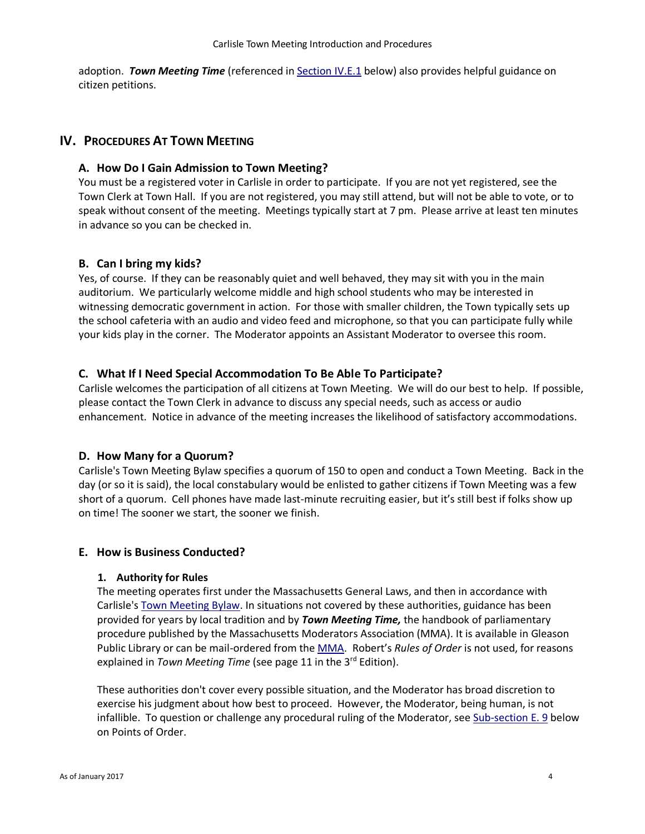adoption. *Town Meeting Time* (referenced in [Section IV.E.1](#page-3-6) below) also provides helpful guidance on citizen petitions.

#### <span id="page-3-1"></span><span id="page-3-0"></span>**IV. PROCEDURES AT TOWN MEETING**

#### **A. How Do I Gain Admission to Town Meeting?**

You must be a registered voter in Carlisle in order to participate. If you are not yet registered, see the Town Clerk at Town Hall. If you are not registered, you may still attend, but will not be able to vote, or to speak without consent of the meeting. Meetings typically start at 7 pm. Please arrive at least ten minutes in advance so you can be checked in.

#### <span id="page-3-2"></span>**B. Can I bring my kids?**

Yes, of course. If they can be reasonably quiet and well behaved, they may sit with you in the main auditorium. We particularly welcome middle and high school students who may be interested in witnessing democratic government in action. For those with smaller children, the Town typically sets up the school cafeteria with an audio and video feed and microphone, so that you can participate fully while your kids play in the corner. The Moderator appoints an Assistant Moderator to oversee this room.

#### <span id="page-3-3"></span>**C. What If I Need Special Accommodation To Be Able To Participate?**

Carlisle welcomes the participation of all citizens at Town Meeting. We will do our best to help. If possible, please contact the Town Clerk in advance to discuss any special needs, such as access or audio enhancement. Notice in advance of the meeting increases the likelihood of satisfactory accommodations.

#### <span id="page-3-4"></span>**D. How Many for a Quorum?**

Carlisle's Town Meeting Bylaw specifies a quorum of 150 to open and conduct a Town Meeting. Back in the day (or so it is said), the local constabulary would be enlisted to gather citizens if Town Meeting was a few short of a quorum. Cell phones have made last-minute recruiting easier, but it's still best if folks show up on time! The sooner we start, the sooner we finish.

#### <span id="page-3-6"></span><span id="page-3-5"></span>**E. How is Business Conducted?**

#### **1. Authority for Rules**

The meeting operates first under the Massachusetts General Laws, and then in accordance with Carlisle'[s Town Meeting Bylaw.](file:///C:/Users/Wayne/Documents/Personal/Town%20Meeting/Website%20ideas%20and%20content/Website%20content%20CURRENT/Carlisle%20Town%20Meeting%20Bylaw%20(Art%20II).pdf) In situations not covered by these authorities, guidance has been provided for years by local tradition and by *Town Meeting Time,* the handbook of parliamentary procedure published by the Massachusetts Moderators Association (MMA). It is available in Gleason Public Library or can be mail-ordered from th[e MMA](http://www.massmoderators.org/). Robert's *Rules of Order* is not used, for reasons explained in *Town Meeting Time* (see page 11 in the 3rd Edition).

These authorities don't cover every possible situation, and the Moderator has broad discretion to exercise his judgment about how best to proceed. However, the Moderator, being human, is not infallible. To question or challenge any procedural ruling of the Moderator, see [Sub-section E. 9](#page-5-3) below on Points of Order.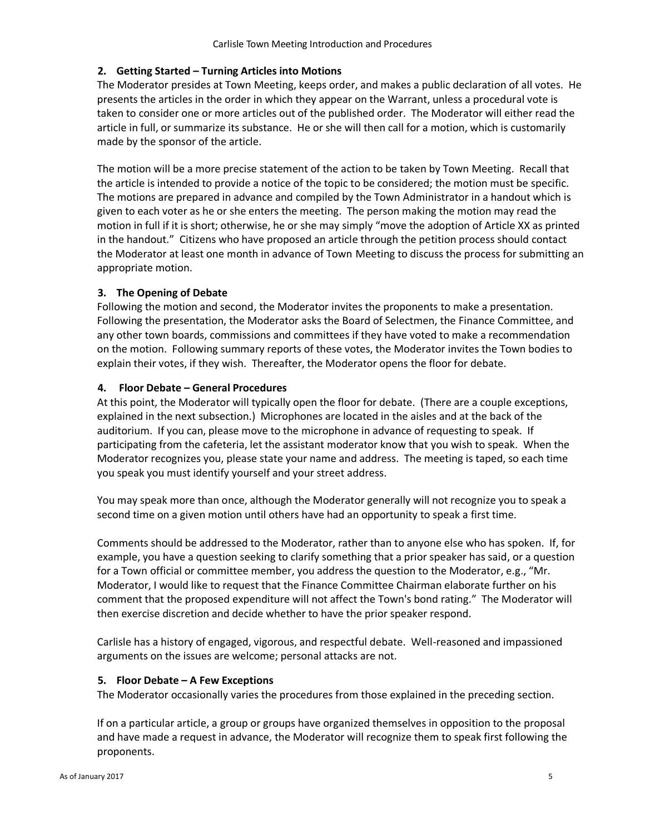#### <span id="page-4-0"></span>**2. Getting Started – Turning Articles into Motions**

The Moderator presides at Town Meeting, keeps order, and makes a public declaration of all votes. He presents the articles in the order in which they appear on the Warrant, unless a procedural vote is taken to consider one or more articles out of the published order. The Moderator will either read the article in full, or summarize its substance. He or she will then call for a motion, which is customarily made by the sponsor of the article.

The motion will be a more precise statement of the action to be taken by Town Meeting. Recall that the article is intended to provide a notice of the topic to be considered; the motion must be specific. The motions are prepared in advance and compiled by the Town Administrator in a handout which is given to each voter as he or she enters the meeting. The person making the motion may read the motion in full if it is short; otherwise, he or she may simply "move the adoption of Article XX as printed in the handout." Citizens who have proposed an article through the petition process should contact the Moderator at least one month in advance of Town Meeting to discuss the process for submitting an appropriate motion.

#### <span id="page-4-1"></span>**3. The Opening of Debate**

Following the motion and second, the Moderator invites the proponents to make a presentation. Following the presentation, the Moderator asks the Board of Selectmen, the Finance Committee, and any other town boards, commissions and committees if they have voted to make a recommendation on the motion. Following summary reports of these votes, the Moderator invites the Town bodies to explain their votes, if they wish. Thereafter, the Moderator opens the floor for debate.

#### <span id="page-4-2"></span>**4. Floor Debate – General Procedures**

At this point, the Moderator will typically open the floor for debate. (There are a couple exceptions, explained in the next subsection.) Microphones are located in the aisles and at the back of the auditorium. If you can, please move to the microphone in advance of requesting to speak. If participating from the cafeteria, let the assistant moderator know that you wish to speak. When the Moderator recognizes you, please state your name and address. The meeting is taped, so each time you speak you must identify yourself and your street address.

You may speak more than once, although the Moderator generally will not recognize you to speak a second time on a given motion until others have had an opportunity to speak a first time.

Comments should be addressed to the Moderator, rather than to anyone else who has spoken. If, for example, you have a question seeking to clarify something that a prior speaker has said, or a question for a Town official or committee member, you address the question to the Moderator, e.g., "Mr. Moderator, I would like to request that the Finance Committee Chairman elaborate further on his comment that the proposed expenditure will not affect the Town's bond rating." The Moderator will then exercise discretion and decide whether to have the prior speaker respond.

Carlisle has a history of engaged, vigorous, and respectful debate. Well-reasoned and impassioned arguments on the issues are welcome; personal attacks are not.

#### <span id="page-4-3"></span>**5. Floor Debate – A Few Exceptions**

The Moderator occasionally varies the procedures from those explained in the preceding section.

If on a particular article, a group or groups have organized themselves in opposition to the proposal and have made a request in advance, the Moderator will recognize them to speak first following the proponents.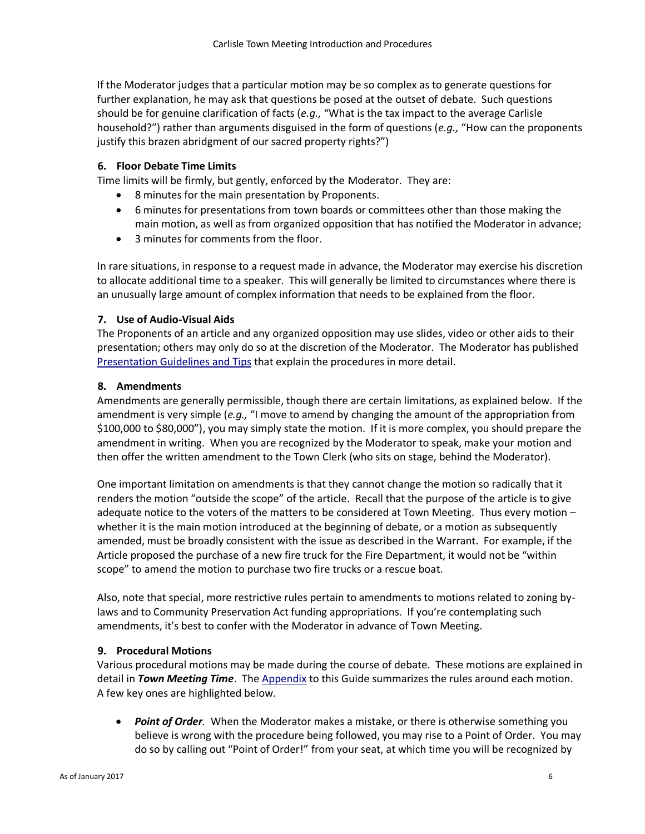If the Moderator judges that a particular motion may be so complex as to generate questions for further explanation, he may ask that questions be posed at the outset of debate. Such questions should be for genuine clarification of facts (*e.g.,* "What is the tax impact to the average Carlisle household?") rather than arguments disguised in the form of questions (*e.g.,* "How can the proponents justify this brazen abridgment of our sacred property rights?")

#### <span id="page-5-0"></span>**6. Floor Debate Time Limits**

Time limits will be firmly, but gently, enforced by the Moderator. They are:

- 8 minutes for the main presentation by Proponents.
- 6 minutes for presentations from town boards or committees other than those making the main motion, as well as from organized opposition that has notified the Moderator in advance;
- 3 minutes for comments from the floor.

In rare situations, in response to a request made in advance, the Moderator may exercise his discretion to allocate additional time to a speaker. This will generally be limited to circumstances where there is an unusually large amount of complex information that needs to be explained from the floor.

#### <span id="page-5-1"></span>**7. Use of Audio-Visual Aids**

The Proponents of an article and any organized opposition may use slides, video or other aids to their presentation; others may only do so at the discretion of the Moderator. The Moderator has published **[Presentation Guidelines and Tips](Presentation%20Guidelines%20(2017-01).pdf) that explain the procedures in more detail.** 

#### <span id="page-5-2"></span>**8. Amendments**

Amendments are generally permissible, though there are certain limitations, as explained below. If the amendment is very simple (*e.g.,* "I move to amend by changing the amount of the appropriation from \$100,000 to \$80,000"), you may simply state the motion. If it is more complex, you should prepare the amendment in writing. When you are recognized by the Moderator to speak, make your motion and then offer the written amendment to the Town Clerk (who sits on stage, behind the Moderator).

One important limitation on amendments is that they cannot change the motion so radically that it renders the motion "outside the scope" of the article. Recall that the purpose of the article is to give adequate notice to the voters of the matters to be considered at Town Meeting. Thus every motion – whether it is the main motion introduced at the beginning of debate, or a motion as subsequently amended, must be broadly consistent with the issue as described in the Warrant. For example, if the Article proposed the purchase of a new fire truck for the Fire Department, it would not be "within scope" to amend the motion to purchase two fire trucks or a rescue boat.

Also, note that special, more restrictive rules pertain to amendments to motions related to zoning bylaws and to Community Preservation Act funding appropriations. If you're contemplating such amendments, it's best to confer with the Moderator in advance of Town Meeting.

#### <span id="page-5-3"></span>**9. Procedural Motions**

Various procedural motions may be made during the course of debate. These motions are explained in detail in *Town Meeting Time*. Th[e Appendix](#page-9-0) to this Guide summarizes the rules around each motion. A few key ones are highlighted below.

 *Point of Order.* When the Moderator makes a mistake, or there is otherwise something you believe is wrong with the procedure being followed, you may rise to a Point of Order. You may do so by calling out "Point of Order!" from your seat, at which time you will be recognized by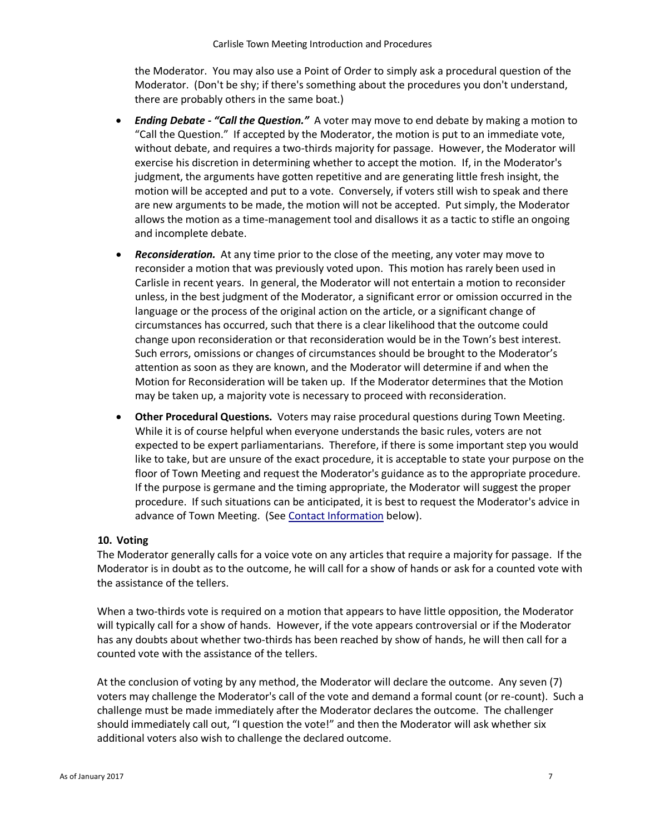the Moderator. You may also use a Point of Order to simply ask a procedural question of the Moderator. (Don't be shy; if there's something about the procedures you don't understand, there are probably others in the same boat.)

- *Ending Debate - "Call the Question."* A voter may move to end debate by making a motion to "Call the Question." If accepted by the Moderator, the motion is put to an immediate vote, without debate, and requires a two-thirds majority for passage. However, the Moderator will exercise his discretion in determining whether to accept the motion. If, in the Moderator's judgment, the arguments have gotten repetitive and are generating little fresh insight, the motion will be accepted and put to a vote. Conversely, if voters still wish to speak and there are new arguments to be made, the motion will not be accepted. Put simply, the Moderator allows the motion as a time-management tool and disallows it as a tactic to stifle an ongoing and incomplete debate.
- *Reconsideration.* At any time prior to the close of the meeting, any voter may move to reconsider a motion that was previously voted upon. This motion has rarely been used in Carlisle in recent years. In general, the Moderator will not entertain a motion to reconsider unless, in the best judgment of the Moderator, a significant error or omission occurred in the language or the process of the original action on the article, or a significant change of circumstances has occurred, such that there is a clear likelihood that the outcome could change upon reconsideration or that reconsideration would be in the Town's best interest. Such errors, omissions or changes of circumstances should be brought to the Moderator's attention as soon as they are known, and the Moderator will determine if and when the Motion for Reconsideration will be taken up. If the Moderator determines that the Motion may be taken up, a majority vote is necessary to proceed with reconsideration.
- **Other Procedural Questions.** Voters may raise procedural questions during Town Meeting. While it is of course helpful when everyone understands the basic rules, voters are not expected to be expert parliamentarians. Therefore, if there is some important step you would like to take, but are unsure of the exact procedure, it is acceptable to state your purpose on the floor of Town Meeting and request the Moderator's guidance as to the appropriate procedure. If the purpose is germane and the timing appropriate, the Moderator will suggest the proper procedure. If such situations can be anticipated, it is best to request the Moderator's advice in advance of Town Meeting. (See [Contact Information](#page-7-2) below).

#### <span id="page-6-0"></span>**10. Voting**

The Moderator generally calls for a voice vote on any articles that require a majority for passage. If the Moderator is in doubt as to the outcome, he will call for a show of hands or ask for a counted vote with the assistance of the tellers.

When a two-thirds vote is required on a motion that appears to have little opposition, the Moderator will typically call for a show of hands. However, if the vote appears controversial or if the Moderator has any doubts about whether two-thirds has been reached by show of hands, he will then call for a counted vote with the assistance of the tellers.

At the conclusion of voting by any method, the Moderator will declare the outcome. Any seven (7) voters may challenge the Moderator's call of the vote and demand a formal count (or re-count). Such a challenge must be made immediately after the Moderator declares the outcome. The challenger should immediately call out, "I question the vote!" and then the Moderator will ask whether six additional voters also wish to challenge the declared outcome.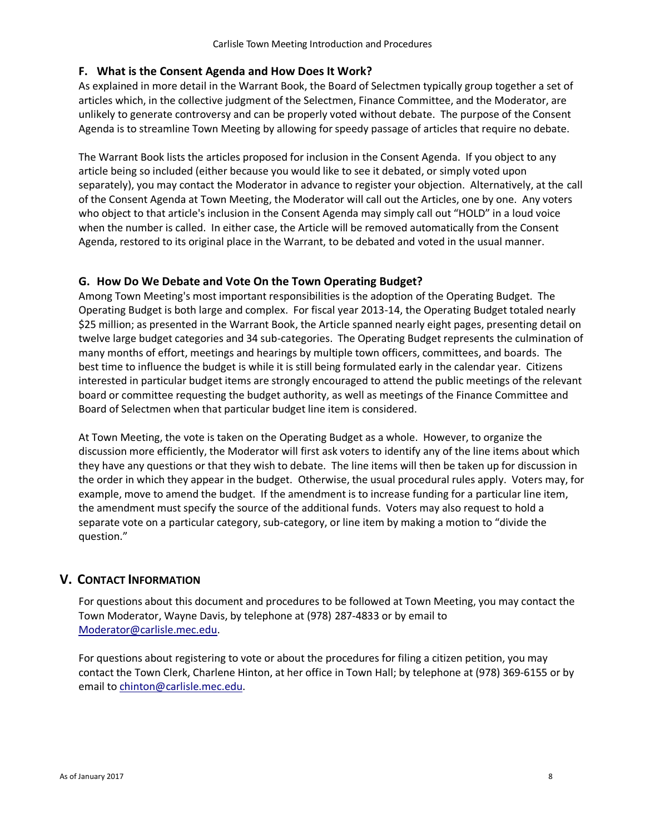#### <span id="page-7-0"></span>**F. What is the Consent Agenda and How Does It Work?**

As explained in more detail in the Warrant Book, the Board of Selectmen typically group together a set of articles which, in the collective judgment of the Selectmen, Finance Committee, and the Moderator, are unlikely to generate controversy and can be properly voted without debate. The purpose of the Consent Agenda is to streamline Town Meeting by allowing for speedy passage of articles that require no debate.

The Warrant Book lists the articles proposed for inclusion in the Consent Agenda. If you object to any article being so included (either because you would like to see it debated, or simply voted upon separately), you may contact the Moderator in advance to register your objection. Alternatively, at the call of the Consent Agenda at Town Meeting, the Moderator will call out the Articles, one by one. Any voters who object to that article's inclusion in the Consent Agenda may simply call out "HOLD" in a loud voice when the number is called. In either case, the Article will be removed automatically from the Consent Agenda, restored to its original place in the Warrant, to be debated and voted in the usual manner.

### <span id="page-7-1"></span>**G. How Do We Debate and Vote On the Town Operating Budget?**

Among Town Meeting's most important responsibilities is the adoption of the Operating Budget. The Operating Budget is both large and complex. For fiscal year 2013-14, the Operating Budget totaled nearly \$25 million; as presented in the Warrant Book, the Article spanned nearly eight pages, presenting detail on twelve large budget categories and 34 sub-categories. The Operating Budget represents the culmination of many months of effort, meetings and hearings by multiple town officers, committees, and boards. The best time to influence the budget is while it is still being formulated early in the calendar year. Citizens interested in particular budget items are strongly encouraged to attend the public meetings of the relevant board or committee requesting the budget authority, as well as meetings of the Finance Committee and Board of Selectmen when that particular budget line item is considered.

At Town Meeting, the vote is taken on the Operating Budget as a whole. However, to organize the discussion more efficiently, the Moderator will first ask voters to identify any of the line items about which they have any questions or that they wish to debate. The line items will then be taken up for discussion in the order in which they appear in the budget. Otherwise, the usual procedural rules apply. Voters may, for example, move to amend the budget. If the amendment is to increase funding for a particular line item, the amendment must specify the source of the additional funds. Voters may also request to hold a separate vote on a particular category, sub-category, or line item by making a motion to "divide the question."

## <span id="page-7-2"></span>**V. CONTACT INFORMATION**

For questions about this document and procedures to be followed at Town Meeting, you may contact the Town Moderator, Wayne Davis, by telephone at (978) 287-4833 or by email to [Moderator@carlisle.mec.edu.](mailto:Moderator@carlisle.mec.edu)

For questions about registering to vote or about the procedures for filing a citizen petition, you may contact the Town Clerk, Charlene Hinton, at her office in Town Hall; by telephone at (978) 369-6155 or by email t[o chinton@carlisle.mec.edu.](mailto:chinon@carlisle.mec.edu)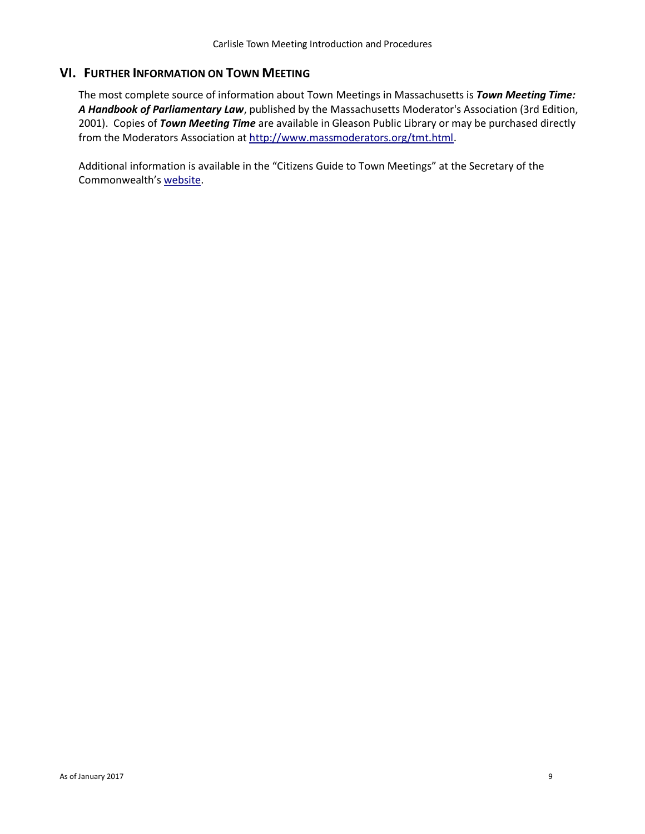## <span id="page-8-0"></span>**VI. FURTHER INFORMATION ON TOWN MEETING**

The most complete source of information about Town Meetings in Massachusetts is *Town Meeting Time: A Handbook of Parliamentary Law*, published by the Massachusetts Moderator's Association (3rd Edition, 2001). Copies of *Town Meeting Time* are available in Gleason Public Library or may be purchased directly from the Moderators Association at [http://www.massmoderators.org/tmt.html.](http://www.massmoderators.org/tmt.html)

Additional information is available in the "Citizens Guide to Town Meetings" at the Secretary of the Commonwealth's [website.](https://www.sec.state.ma.us/cis/cistwn/twnidx.htm)